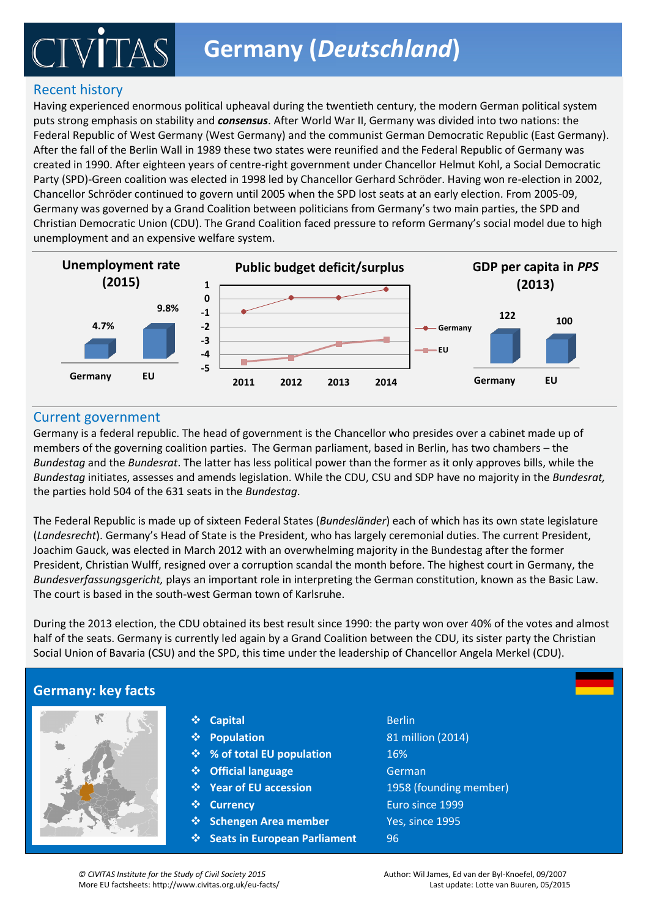## Recent history

Having experienced enormous political upheaval during the twentieth century, the modern German political system puts strong emphasis on stability and *consensus*. After World War II, Germany was divided into two nations: the Federal Republic of West Germany (West Germany) and the communist German Democratic Republic (East Germany). After the fall of the Berlin Wall in 1989 these two states were reunified and the Federal Republic of Germany was created in 1990. After eighteen years of centre-right government under Chancellor Helmut Kohl, a Social Democratic Party (SPD)-Green coalition was elected in 1998 led by Chancellor Gerhard Schröder. Having won re-election in 2002, Chancellor Schröder continued to govern until 2005 when the SPD lost seats at an early election. From 2005-09, Germany was governed by a Grand Coalition between politicians from Germany's two main parties, the SPD and Christian Democratic Union (CDU). The Grand Coalition faced pressure to reform Germany's social model due to high unemployment and an expensive welfare system.



### Current government

Germany is a federal republic. The head of government is the Chancellor who presides over a cabinet made up of members of the governing coalition parties. The German parliament, based in Berlin, has two chambers – the legislative (lawmaking) and executive (law-enforcing) branches of government in a parliamentary *Bundestag* initiates, assesses and amends legislation. While the CDU, CSU and SDP have no majority in the *Bundesrat,*  the parties hold 504 of the 631 seats in the *Bundestag*. *Bundestag* and the *Bundesrat*. The latter has less political power than the former as it only approves bills, while the

The Federal Republic is made up of sixteen Federal States (*Bundesländer*) each of which has its own state legislature (Landesrecht). Germany's Head of State is the President, who has largely ceremonial duties. The current President, President, Christian Wulff, resigned over a corruption scandal the month before. The highest court in Germany, the Bundesverfassungsgericht, plays an important role in interpreting the German constitution, known as the Basic Law. Joachim Gauck, was elected in March 2012 with an overwhelming majority in the Bundestag after the former The court is based in the south-west German town of Karlsruhe.

During the 2013 election, the CDU obtained its best result since 1990: the party won over 40% of the votes and almost half of the seats. Germany is currently led again by a Grand Coalition between the CDU, its sister party the [Christian](http://en.wikipedia.org/wiki/Christian_Social_Union_of_Bavaria)  [Social Union of Bavaria](http://en.wikipedia.org/wiki/Christian_Social_Union_of_Bavaria) (CSU) and the SPD, this time under the leadership of Chancellor Angela Merkel (CDU).

Members of Parliament in the House of Commons are elected using the first-past-the-

First-Past-The-Post

## **Germany: key facts**